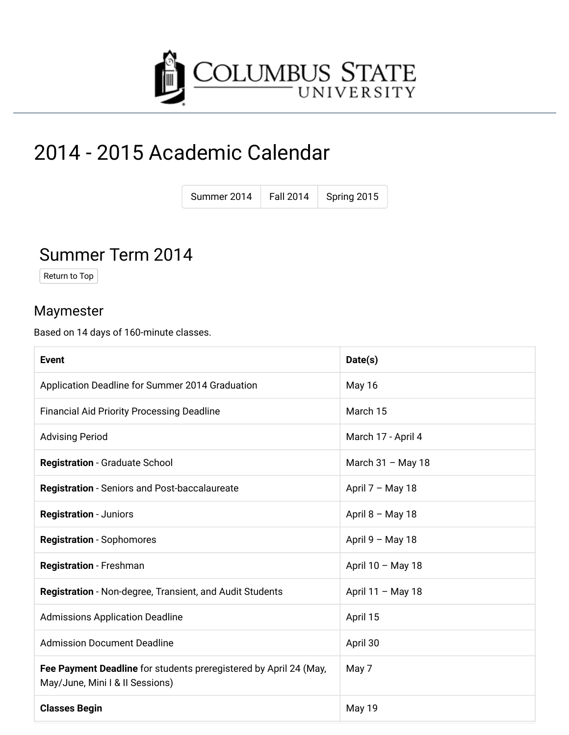

# 2014 - 2015 Academic Calendar

| Summer 2014 | <b>Fall 2014</b> | Spring 2015 |
|-------------|------------------|-------------|
|             |                  |             |

### Summer Term 2014

Return to Top

#### Maymester

Based on 14 days of 160-minute classes.

| <b>Event</b>                                                                                         | Date(s)             |
|------------------------------------------------------------------------------------------------------|---------------------|
| Application Deadline for Summer 2014 Graduation                                                      | <b>May 16</b>       |
| <b>Financial Aid Priority Processing Deadline</b>                                                    | March 15            |
| <b>Advising Period</b>                                                                               | March 17 - April 4  |
| Registration - Graduate School                                                                       | March $31 -$ May 18 |
| Registration - Seniors and Post-baccalaureate                                                        | April 7 - May 18    |
| <b>Registration - Juniors</b>                                                                        | April $8 - May 18$  |
| <b>Registration - Sophomores</b>                                                                     | April $9 - May 18$  |
| <b>Registration - Freshman</b>                                                                       | April 10 - May 18   |
| Registration - Non-degree, Transient, and Audit Students                                             | April 11 - May 18   |
| <b>Admissions Application Deadline</b>                                                               | April 15            |
| <b>Admission Document Deadline</b>                                                                   | April 30            |
| Fee Payment Deadline for students preregistered by April 24 (May,<br>May/June, Mini I & II Sessions) | May 7               |
| <b>Classes Begin</b>                                                                                 | May 19              |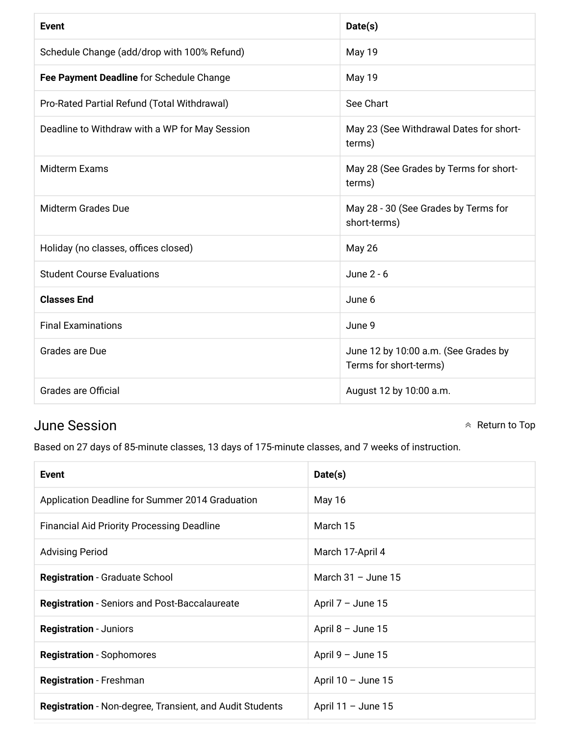| <b>Event</b>                                   | Date(s)                                                        |
|------------------------------------------------|----------------------------------------------------------------|
| Schedule Change (add/drop with 100% Refund)    | May 19                                                         |
| Fee Payment Deadline for Schedule Change       | May 19                                                         |
| Pro-Rated Partial Refund (Total Withdrawal)    | See Chart                                                      |
| Deadline to Withdraw with a WP for May Session | May 23 (See Withdrawal Dates for short-<br>terms)              |
| <b>Midterm Exams</b>                           | May 28 (See Grades by Terms for short-<br>terms)               |
| <b>Midterm Grades Due</b>                      | May 28 - 30 (See Grades by Terms for<br>short-terms)           |
| Holiday (no classes, offices closed)           | <b>May 26</b>                                                  |
| <b>Student Course Evaluations</b>              | June 2 - 6                                                     |
| <b>Classes End</b>                             | June 6                                                         |
| <b>Final Examinations</b>                      | June 9                                                         |
| Grades are Due                                 | June 12 by 10:00 a.m. (See Grades by<br>Terms for short-terms) |
| <b>Grades are Official</b>                     | August 12 by 10:00 a.m.                                        |

#### **June Session**

 $\land$  Return to Top

Based on 27 days of 85-minute classes, 13 days of 175-minute classes, and 7 weeks of instruction.

| <b>Event</b>                                                    | Date(s)              |
|-----------------------------------------------------------------|----------------------|
| Application Deadline for Summer 2014 Graduation                 | May 16               |
| <b>Financial Aid Priority Processing Deadline</b>               | March 15             |
| <b>Advising Period</b>                                          | March 17-April 4     |
| <b>Registration - Graduate School</b>                           | March $31 -$ June 15 |
| <b>Registration</b> - Seniors and Post-Baccalaureate            | April $7 -$ June 15  |
| <b>Registration - Juniors</b>                                   | April $8 -$ June 15  |
| <b>Registration</b> - Sophomores                                | April $9 -$ June 15  |
| <b>Registration</b> - Freshman                                  | April $10 -$ June 15 |
| <b>Registration</b> - Non-degree, Transient, and Audit Students | April 11 - June 15   |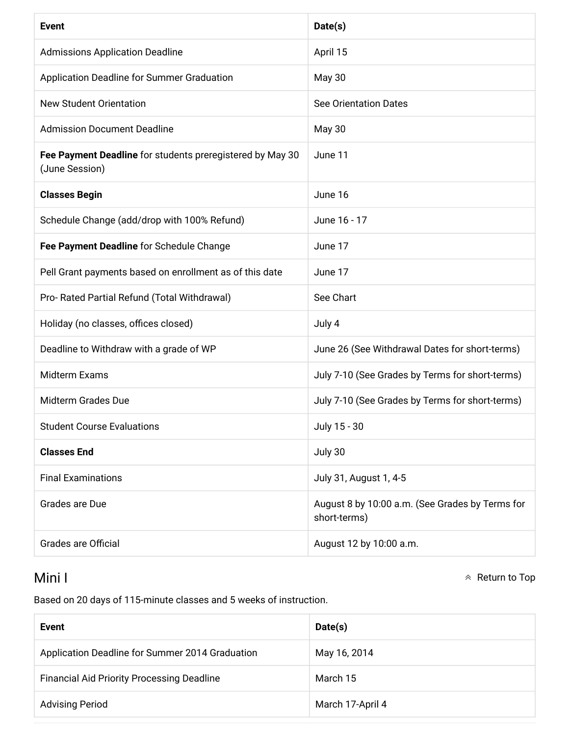| <b>Event</b>                                                                | Date(s)                                                         |
|-----------------------------------------------------------------------------|-----------------------------------------------------------------|
| <b>Admissions Application Deadline</b>                                      | April 15                                                        |
| Application Deadline for Summer Graduation                                  | <b>May 30</b>                                                   |
| <b>New Student Orientation</b>                                              | <b>See Orientation Dates</b>                                    |
| <b>Admission Document Deadline</b>                                          | <b>May 30</b>                                                   |
| Fee Payment Deadline for students preregistered by May 30<br>(June Session) | June 11                                                         |
| <b>Classes Begin</b>                                                        | June 16                                                         |
| Schedule Change (add/drop with 100% Refund)                                 | June 16 - 17                                                    |
| Fee Payment Deadline for Schedule Change                                    | June 17                                                         |
| Pell Grant payments based on enrollment as of this date                     | June 17                                                         |
| Pro- Rated Partial Refund (Total Withdrawal)                                | See Chart                                                       |
| Holiday (no classes, offices closed)                                        | July 4                                                          |
| Deadline to Withdraw with a grade of WP                                     | June 26 (See Withdrawal Dates for short-terms)                  |
| Midterm Exams                                                               | July 7-10 (See Grades by Terms for short-terms)                 |
| <b>Midterm Grades Due</b>                                                   | July 7-10 (See Grades by Terms for short-terms)                 |
| <b>Student Course Evaluations</b>                                           | July 15 - 30                                                    |
| <b>Classes End</b>                                                          | July 30                                                         |
| <b>Final Examinations</b>                                                   | July 31, August 1, 4-5                                          |
| Grades are Due                                                              | August 8 by 10:00 a.m. (See Grades by Terms for<br>short-terms) |
| <b>Grades are Official</b>                                                  | August 12 by 10:00 a.m.                                         |

#### Mini I

 $\land$  Return to Top

Based on 20 days of 115-minute classes and 5 weeks of instruction.

| Event                                             | Date(s)          |
|---------------------------------------------------|------------------|
| Application Deadline for Summer 2014 Graduation   | May 16, 2014     |
| <b>Financial Aid Priority Processing Deadline</b> | March 15         |
| <b>Advising Period</b>                            | March 17-April 4 |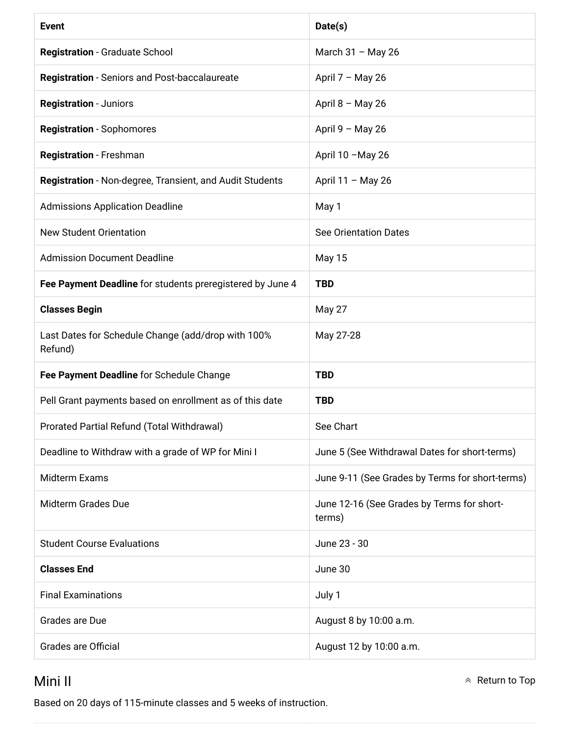| <b>Event</b>                                                  | Date(s)                                              |
|---------------------------------------------------------------|------------------------------------------------------|
| Registration - Graduate School                                | March 31 - May 26                                    |
| <b>Registration</b> - Seniors and Post-baccalaureate          | April $7 - May 26$                                   |
| <b>Registration - Juniors</b>                                 | April $8 - May 26$                                   |
| <b>Registration - Sophomores</b>                              | April 9 - May 26                                     |
| Registration - Freshman                                       | April 10 - May 26                                    |
| Registration - Non-degree, Transient, and Audit Students      | April 11 - May 26                                    |
| <b>Admissions Application Deadline</b>                        | May 1                                                |
| <b>New Student Orientation</b>                                | <b>See Orientation Dates</b>                         |
| <b>Admission Document Deadline</b>                            | <b>May 15</b>                                        |
| Fee Payment Deadline for students preregistered by June 4     | <b>TBD</b>                                           |
| <b>Classes Begin</b>                                          | May 27                                               |
| Last Dates for Schedule Change (add/drop with 100%<br>Refund) | May 27-28                                            |
| Fee Payment Deadline for Schedule Change                      | <b>TBD</b>                                           |
| Pell Grant payments based on enrollment as of this date       | <b>TBD</b>                                           |
| Prorated Partial Refund (Total Withdrawal)                    | See Chart                                            |
| Deadline to Withdraw with a grade of WP for Mini I            | June 5 (See Withdrawal Dates for short-terms)        |
| Midterm Exams                                                 | June 9-11 (See Grades by Terms for short-terms)      |
| <b>Midterm Grades Due</b>                                     | June 12-16 (See Grades by Terms for short-<br>terms) |
| <b>Student Course Evaluations</b>                             | June 23 - 30                                         |
| <b>Classes End</b>                                            | June 30                                              |
| <b>Final Examinations</b>                                     | July 1                                               |
| Grades are Due                                                | August 8 by 10:00 a.m.                               |
| <b>Grades are Official</b>                                    | August 12 by 10:00 a.m.                              |

#### Mini II

Based on 20 days of 115-minute classes and 5 weeks of instruction.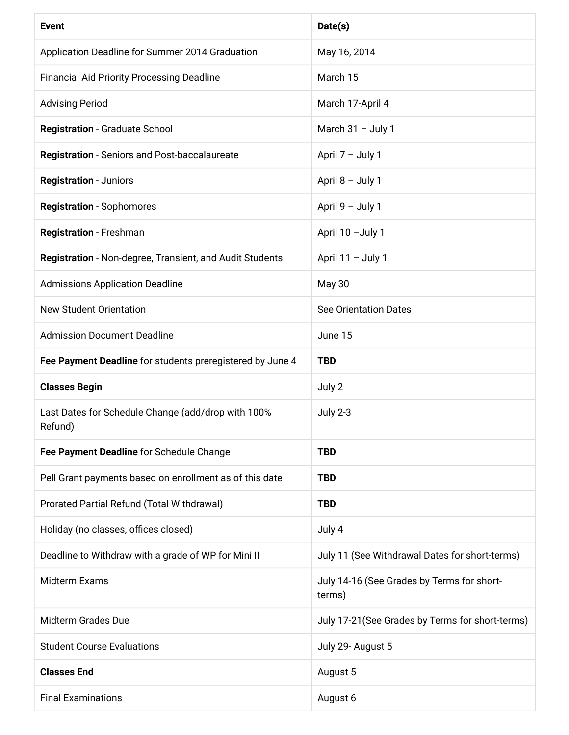| <b>Event</b>                                                  | Date(s)                                              |
|---------------------------------------------------------------|------------------------------------------------------|
| Application Deadline for Summer 2014 Graduation               | May 16, 2014                                         |
| <b>Financial Aid Priority Processing Deadline</b>             | March 15                                             |
| <b>Advising Period</b>                                        | March 17-April 4                                     |
| <b>Registration - Graduate School</b>                         | March $31 -$ July 1                                  |
| <b>Registration</b> - Seniors and Post-baccalaureate          | April 7 - July 1                                     |
| <b>Registration - Juniors</b>                                 | April 8 - July 1                                     |
| <b>Registration - Sophomores</b>                              | April 9 - July 1                                     |
| Registration - Freshman                                       | April 10 - July 1                                    |
| Registration - Non-degree, Transient, and Audit Students      | April 11 - July 1                                    |
| <b>Admissions Application Deadline</b>                        | May 30                                               |
| <b>New Student Orientation</b>                                | <b>See Orientation Dates</b>                         |
| <b>Admission Document Deadline</b>                            | June 15                                              |
| Fee Payment Deadline for students preregistered by June 4     | <b>TBD</b>                                           |
| <b>Classes Begin</b>                                          | July 2                                               |
| Last Dates for Schedule Change (add/drop with 100%<br>Refund) | <b>July 2-3</b>                                      |
| Fee Payment Deadline for Schedule Change                      | <b>TBD</b>                                           |
| Pell Grant payments based on enrollment as of this date       | <b>TBD</b>                                           |
| Prorated Partial Refund (Total Withdrawal)                    | <b>TBD</b>                                           |
| Holiday (no classes, offices closed)                          | July 4                                               |
| Deadline to Withdraw with a grade of WP for Mini II           | July 11 (See Withdrawal Dates for short-terms)       |
| Midterm Exams                                                 | July 14-16 (See Grades by Terms for short-<br>terms) |
| <b>Midterm Grades Due</b>                                     | July 17-21 (See Grades by Terms for short-terms)     |
| <b>Student Course Evaluations</b>                             | July 29- August 5                                    |
| <b>Classes End</b>                                            | August 5                                             |
| <b>Final Examinations</b>                                     | August 6                                             |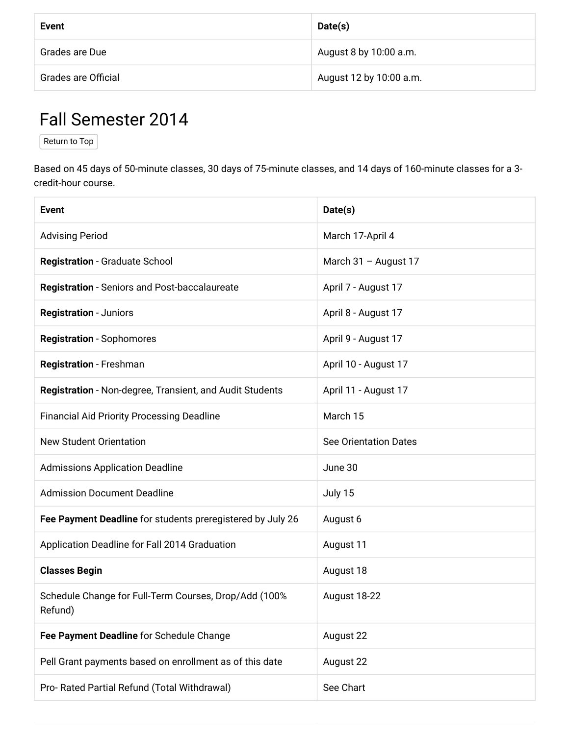| Event               | Date(s)                 |
|---------------------|-------------------------|
| Grades are Due      | August 8 by 10:00 a.m.  |
| Grades are Official | August 12 by 10:00 a.m. |

### Fall Semester 2014

Return to Top

Based on 45 days of 50-minute classes, 30 days of 75-minute classes, and 14 days of 160-minute classes for a 3credit-hour course.

| <b>Event</b>                                                     | Date(s)                      |
|------------------------------------------------------------------|------------------------------|
| <b>Advising Period</b>                                           | March 17-April 4             |
| <b>Registration - Graduate School</b>                            | March 31 - August 17         |
| <b>Registration - Seniors and Post-baccalaureate</b>             | April 7 - August 17          |
| <b>Registration - Juniors</b>                                    | April 8 - August 17          |
| <b>Registration - Sophomores</b>                                 | April 9 - August 17          |
| Registration - Freshman                                          | April 10 - August 17         |
| Registration - Non-degree, Transient, and Audit Students         | April 11 - August 17         |
| <b>Financial Aid Priority Processing Deadline</b>                | March 15                     |
| <b>New Student Orientation</b>                                   | <b>See Orientation Dates</b> |
| <b>Admissions Application Deadline</b>                           | June 30                      |
| <b>Admission Document Deadline</b>                               | July 15                      |
| Fee Payment Deadline for students preregistered by July 26       | August 6                     |
| Application Deadline for Fall 2014 Graduation                    | August 11                    |
| <b>Classes Begin</b>                                             | August 18                    |
| Schedule Change for Full-Term Courses, Drop/Add (100%<br>Refund) | August 18-22                 |
| Fee Payment Deadline for Schedule Change                         | August 22                    |
| Pell Grant payments based on enrollment as of this date          | August 22                    |
| Pro- Rated Partial Refund (Total Withdrawal)                     | See Chart                    |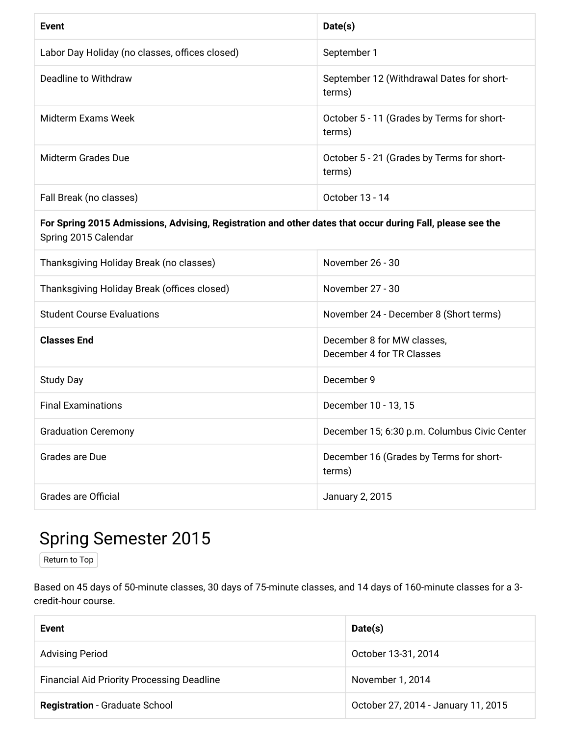| Event                                          | Date(s)                                              |
|------------------------------------------------|------------------------------------------------------|
| Labor Day Holiday (no classes, offices closed) | September 1                                          |
| Deadline to Withdraw                           | September 12 (Withdrawal Dates for short-<br>terms)  |
| Midterm Exams Week                             | October 5 - 11 (Grades by Terms for short-<br>terms) |
| Midterm Grades Due                             | October 5 - 21 (Grades by Terms for short-<br>terms) |
| Fall Break (no classes)                        | October 13 - 14                                      |

#### For Spring 2015 Admissions, Advising, Registration and other dates that occur during Fall, please see the Spring 2015 Calendar

| Thanksgiving Holiday Break (no classes)     | November 26 - 30                                        |
|---------------------------------------------|---------------------------------------------------------|
| Thanksgiving Holiday Break (offices closed) | November 27 - 30                                        |
| <b>Student Course Evaluations</b>           | November 24 - December 8 (Short terms)                  |
| <b>Classes End</b>                          | December 8 for MW classes,<br>December 4 for TR Classes |
| <b>Study Day</b>                            | December 9                                              |
| <b>Final Examinations</b>                   | December 10 - 13, 15                                    |
| <b>Graduation Ceremony</b>                  | December 15; 6:30 p.m. Columbus Civic Center            |
| Grades are Due                              | December 16 (Grades by Terms for short-<br>terms)       |
| Grades are Official                         | January 2, 2015                                         |

### **Spring Semester 2015**

Return to Top

Based on 45 days of 50-minute classes, 30 days of 75-minute classes, and 14 days of 160-minute classes for a 3credit-hour course.

| Event                                             | Date(s)                             |
|---------------------------------------------------|-------------------------------------|
| <b>Advising Period</b>                            | October 13-31, 2014                 |
| <b>Financial Aid Priority Processing Deadline</b> | November 1, 2014                    |
| <b>Registration - Graduate School</b>             | October 27, 2014 - January 11, 2015 |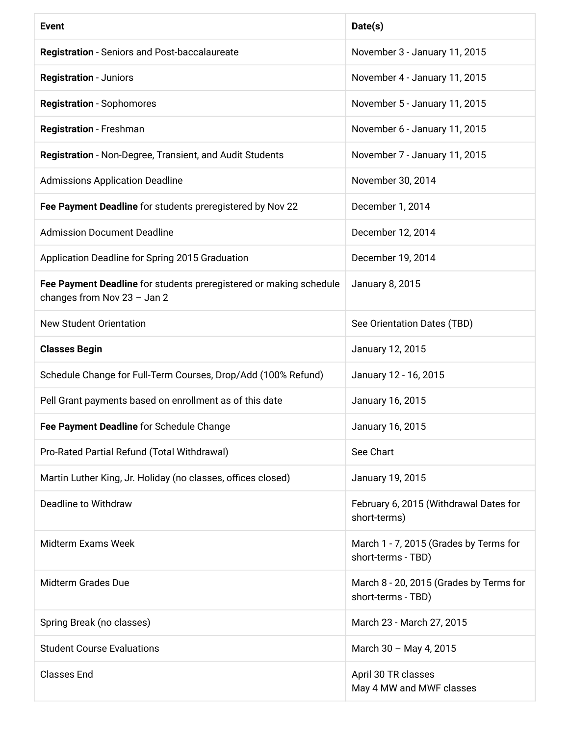| <b>Event</b>                                                                                      | Date(s)                                                       |
|---------------------------------------------------------------------------------------------------|---------------------------------------------------------------|
| <b>Registration - Seniors and Post-baccalaureate</b>                                              | November 3 - January 11, 2015                                 |
| <b>Registration - Juniors</b>                                                                     | November 4 - January 11, 2015                                 |
| <b>Registration - Sophomores</b>                                                                  | November 5 - January 11, 2015                                 |
| Registration - Freshman                                                                           | November 6 - January 11, 2015                                 |
| Registration - Non-Degree, Transient, and Audit Students                                          | November 7 - January 11, 2015                                 |
| <b>Admissions Application Deadline</b>                                                            | November 30, 2014                                             |
| Fee Payment Deadline for students preregistered by Nov 22                                         | December 1, 2014                                              |
| <b>Admission Document Deadline</b>                                                                | December 12, 2014                                             |
| Application Deadline for Spring 2015 Graduation                                                   | December 19, 2014                                             |
| Fee Payment Deadline for students preregistered or making schedule<br>changes from Nov 23 - Jan 2 | January 8, 2015                                               |
| <b>New Student Orientation</b>                                                                    | See Orientation Dates (TBD)                                   |
| <b>Classes Begin</b>                                                                              | January 12, 2015                                              |
| Schedule Change for Full-Term Courses, Drop/Add (100% Refund)                                     | January 12 - 16, 2015                                         |
| Pell Grant payments based on enrollment as of this date                                           | January 16, 2015                                              |
| Fee Payment Deadline for Schedule Change                                                          | January 16, 2015                                              |
| Pro-Rated Partial Refund (Total Withdrawal)                                                       | See Chart                                                     |
| Martin Luther King, Jr. Holiday (no classes, offices closed)                                      | January 19, 2015                                              |
| Deadline to Withdraw                                                                              | February 6, 2015 (Withdrawal Dates for<br>short-terms)        |
| <b>Midterm Exams Week</b>                                                                         | March 1 - 7, 2015 (Grades by Terms for<br>short-terms - TBD)  |
| <b>Midterm Grades Due</b>                                                                         | March 8 - 20, 2015 (Grades by Terms for<br>short-terms - TBD) |
| Spring Break (no classes)                                                                         | March 23 - March 27, 2015                                     |
| <b>Student Course Evaluations</b>                                                                 | March 30 - May 4, 2015                                        |
| <b>Classes End</b>                                                                                | April 30 TR classes<br>May 4 MW and MWF classes               |